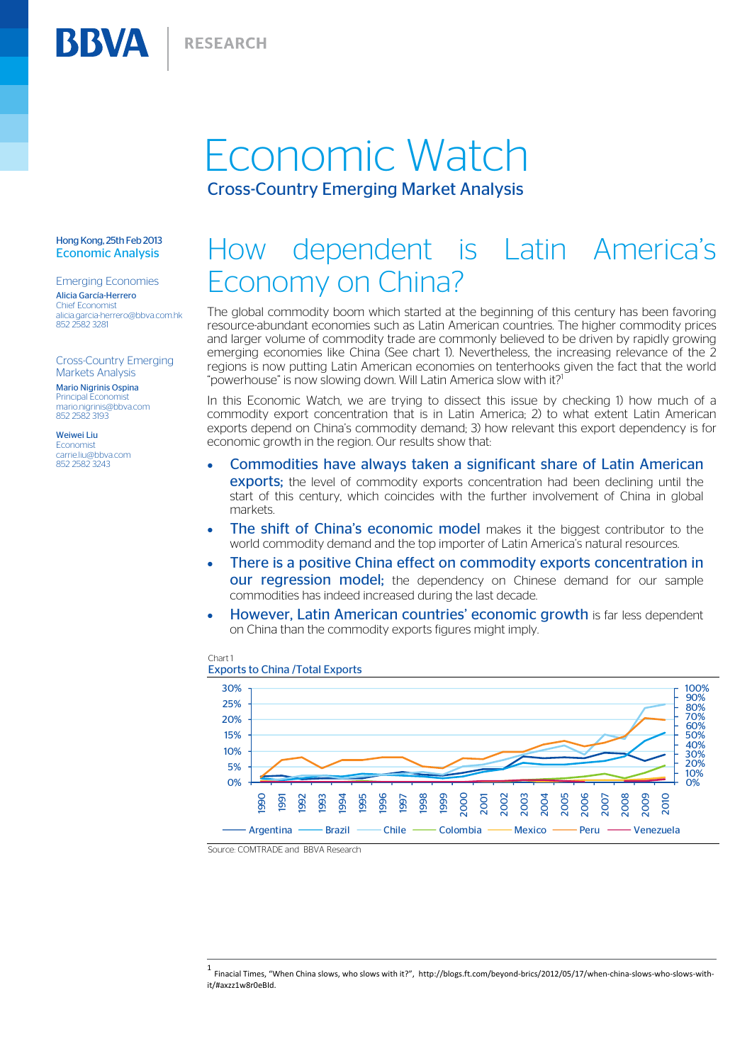## Economic Watch Cross-Country Emerging Market Analysis

#### Hong Kong, 25th Feb 2013 Economic Analysis

BBVA

Emerging Economies Alicia García-Herrero Chief Economist alicia.garcia-herrero@bbva.com.hk 852 2582 3281

Cross-Country Emerging Markets Analysis

Mario Nigrinis Ospina Principal Economist mario.nigrinis@bbva.com 852 2582 3193

Weiwei Liu **Economist** carrie.liu@bbya.com 852 2582 3243

# How dependent is Latin America's Economy on China?

The global commodity boom which started at the beginning of this century has been favoring resource-abundant economies such as Latin American countries. The higher commodity prices and larger volume of commodity trade are commonly believed to be driven by rapidly growing emerging economies like China (See chart 1). Nevertheless, the increasing relevance of the 2 regions is now putting Latin American economies on tenterhooks given the fact that the world "powerhouse" is now slowing down. Will Latin America slow with it?<sup>1</sup>  $\overline{a}$ 

In this Economic Watch, we are trying to dissect this issue by checking 1) how much of a commodity export concentration that is in Latin America; 2) to what extent Latin American exports depend on China's commodity demand; 3) how relevant this export dependency is for economic growth in the region. Our results show that:

- Commodities have always taken a significant share of Latin American **exports:** the level of commodity exports concentration had been declining until the start of this century, which coincides with the further involvement of China in global markets.
- The shift of China's economic model makes it the biggest contributor to the world commodity demand and the top importer of Latin America's natural resources.
- There is a positive China effect on commodity exports concentration in **our regression model;** the dependency on Chinese demand for our sample commodities has indeed increased during the last decade.
- However, Latin American countries' economic growth is far less dependent on China than the commodity exports figures might imply.



#### Chart 1 Exports to China /Total Exports

Source: COMTRADE and BBVA Research

<sup>1</sup> Finacial Times, "When China slows, who slows with it?", http://blogs.ft.com/beyond-brics/2012/05/17/when-china-slows-who-slows-withit/#axzz1w8r0eBId.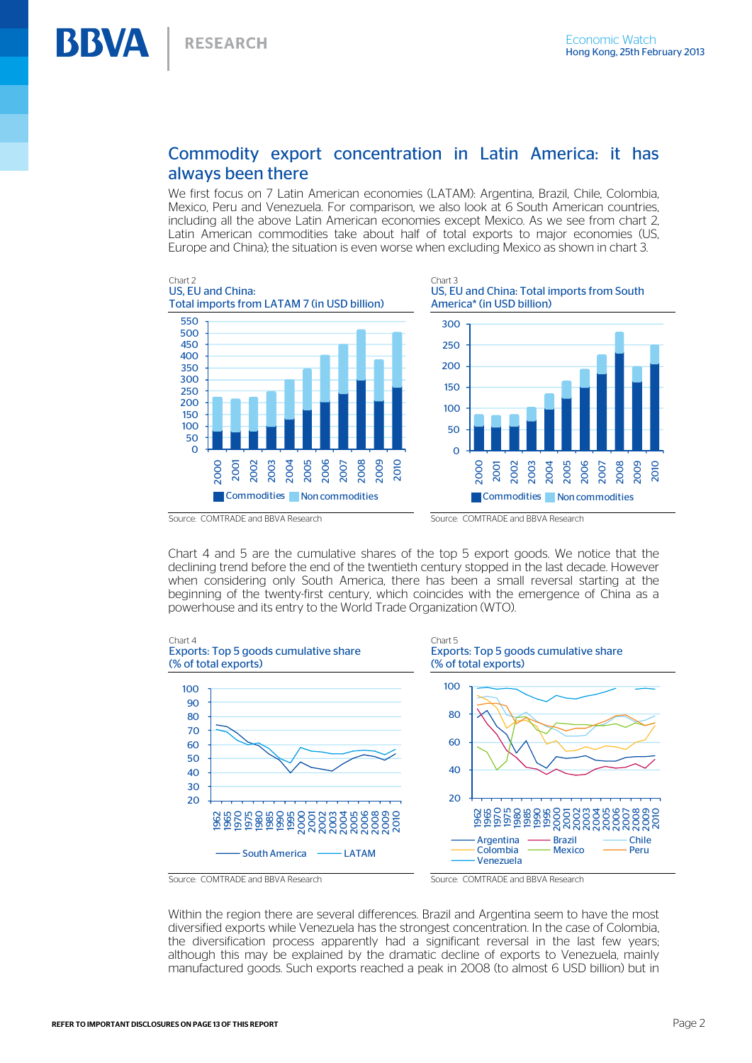## Commodity export concentration in Latin America: it has always been there

We first focus on 7 Latin American economies (LATAM): Argentina, Brazil, Chile, Colombia, Mexico, Peru and Venezuela. For comparison, we also look at 6 South American countries, including all the above Latin American economies except Mexico. As we see from chart 2, Latin American commodities take about half of total exports to major economies (US, Europe and China); the situation is even worse when excluding Mexico as shown in chart 3.



Chart 4 and 5 are the cumulative shares of the top 5 export goods. We notice that the declining trend before the end of the twentieth century stopped in the last decade. However when considering only South America, there has been a small reversal starting at the beginning of the twenty-first century, which coincides with the emergence of China as a powerhouse and its entry to the World Trade Organization (WTO).



Within the region there are several differences. Brazil and Argentina seem to have the most diversified exports while Venezuela has the strongest concentration. In the case of Colombia, the diversification process apparently had a significant reversal in the last few years; although this may be explained by the dramatic decline of exports to Venezuela, mainly manufactured goods. Such exports reached a peak in 2008 (to almost 6 USD billion) but in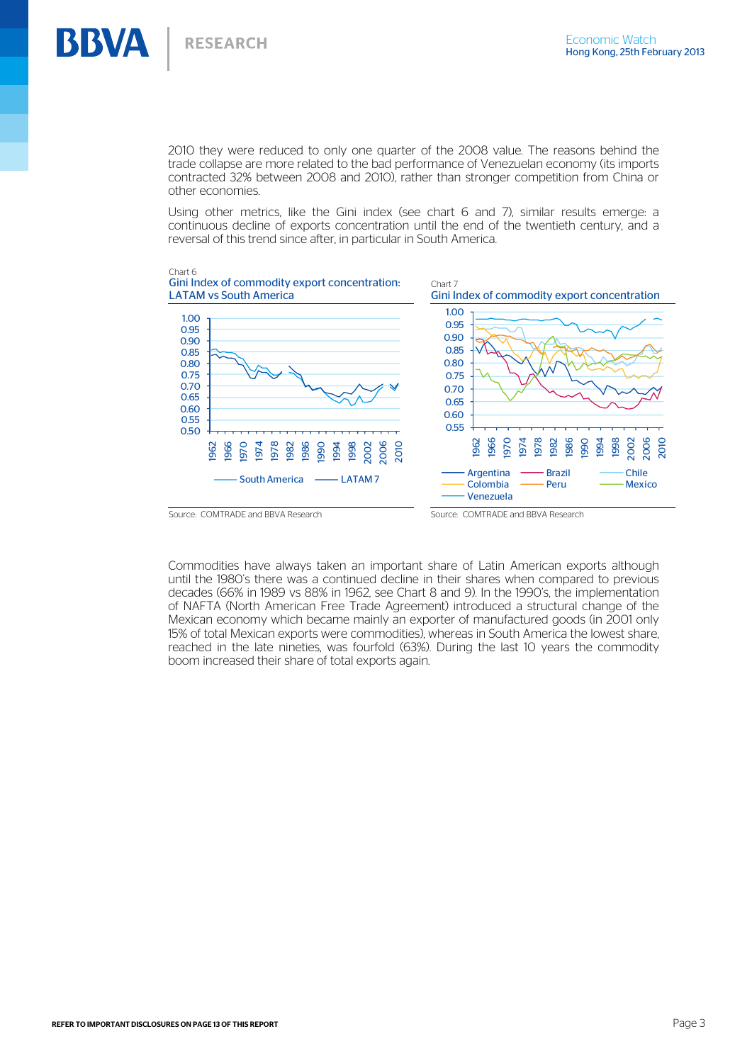**RESEARCH** 

**BBVA** 

2010 they were reduced to only one quarter of the 2008 value. The reasons behind the trade collapse are more related to the bad performance of Venezuelan economy (its imports contracted 32% between 2008 and 2010), rather than stronger competition from China or other economies.

Using other metrics, like the Gini index (see chart 6 and 7), similar results emerge: a continuous decline of exports concentration until the end of the twentieth century, and a reversal of this trend since after, in particular in South America.



Commodities have always taken an important share of Latin American exports although until the 1980's there was a continued decline in their shares when compared to previous decades (66% in 1989 vs 88% in 1962, see Chart 8 and 9). In the 1990's, the implementation of NAFTA (North American Free Trade Agreement) introduced a structural change of the Mexican economy which became mainly an exporter of manufactured goods (in 2001 only 15% of total Mexican exports were commodities), whereas in South America the lowest share, reached in the late nineties, was fourfold (63%). During the last 10 years the commodity boom increased their share of total exports again.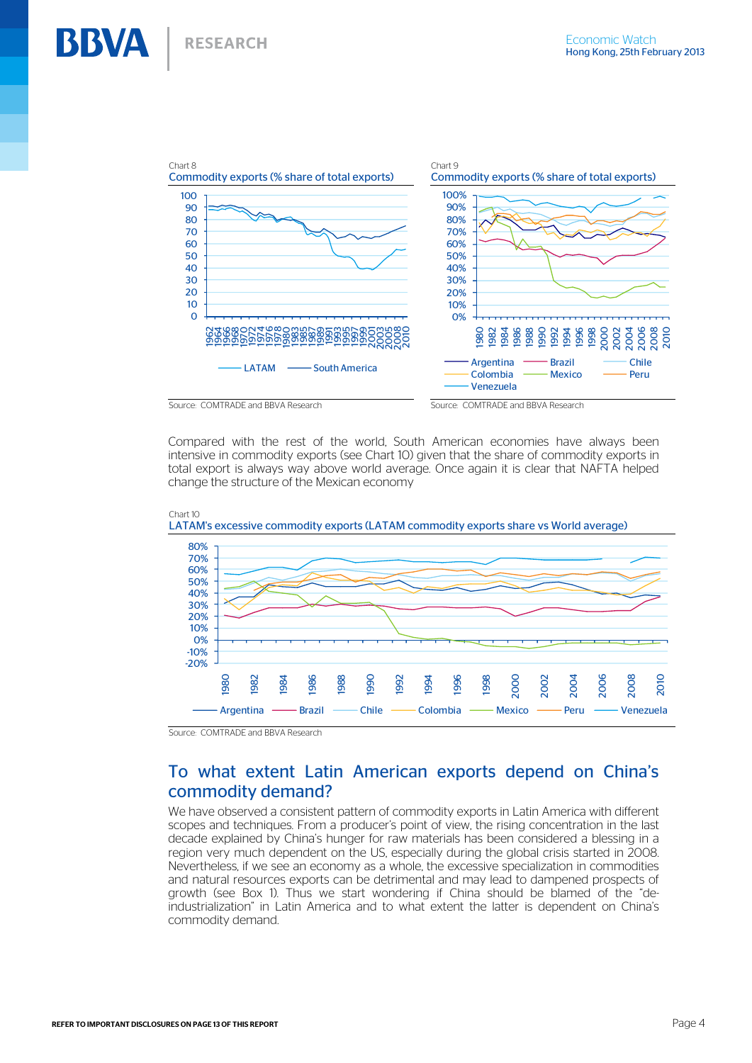

Compared with the rest of the world, South American economies have always been intensive in commodity exports (see Chart 10) given that the share of commodity exports in total export is always way above world average. Once again it is clear that NAFTA helped change the structure of the Mexican economy



Source: COMTRADE and BBVA Research

## To what extent Latin American exports depend on China's commodity demand?

We have observed a consistent pattern of commodity exports in Latin America with different scopes and techniques. From a producer's point of view, the rising concentration in the last decade explained by China's hunger for raw materials has been considered a blessing in a region very much dependent on the US, especially during the global crisis started in 2008. Nevertheless, if we see an economy as a whole, the excessive specialization in commodities and natural resources exports can be detrimental and may lead to dampened prospects of growth (see Box 1). Thus we start wondering if China should be blamed of the "deindustrialization" in Latin America and to what extent the latter is dependent on China's commodity demand.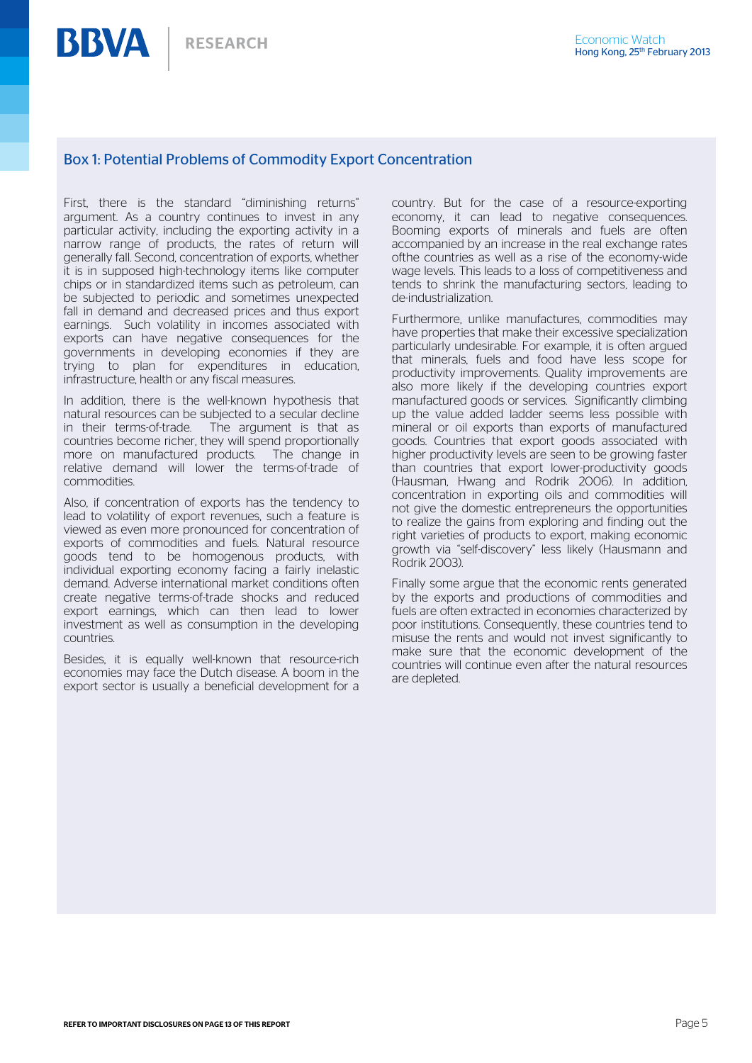## Box 1: Potential Problems of Commodity Export Concentration

First, there is the standard "diminishing returns" argument. As a country continues to invest in any particular activity, including the exporting activity in a narrow range of products, the rates of return will generally fall. Second, concentration of exports, whether it is in supposed high-technology items like computer chips or in standardized items such as petroleum, can be subjected to periodic and sometimes unexpected fall in demand and decreased prices and thus export earnings. Such volatility in incomes associated with exports can have negative consequences for the governments in developing economies if they are trying to plan for expenditures in education, infrastructure, health or any fiscal measures.

In addition, there is the well-known hypothesis that natural resources can be subjected to a secular decline in their terms-of-trade. The argument is that as countries become richer, they will spend proportionally more on manufactured products. The change in relative demand will lower the terms-of-trade of commodities.

Also, if concentration of exports has the tendency to lead to volatility of export revenues, such a feature is viewed as even more pronounced for concentration of exports of commodities and fuels. Natural resource goods tend to be homogenous products, with individual exporting economy facing a fairly inelastic demand. Adverse international market conditions often create negative terms-of-trade shocks and reduced export earnings, which can then lead to lower investment as well as consumption in the developing countries.

Besides, it is equally well-known that resource-rich economies may face the Dutch disease. A boom in the export sector is usually a beneficial development for a

country. But for the case of a resource-exporting economy, it can lead to negative consequences. Booming exports of minerals and fuels are often accompanied by an increase in the real exchange rates ofthe countries as well as a rise of the economy-wide wage levels. This leads to a loss of competitiveness and tends to shrink the manufacturing sectors, leading to de-industrialization.

Furthermore, unlike manufactures, commodities may have properties that make their excessive specialization particularly undesirable. For example, it is often argued that minerals, fuels and food have less scope for productivity improvements. Quality improvements are also more likely if the developing countries export manufactured goods or services. Significantly climbing up the value added ladder seems less possible with mineral or oil exports than exports of manufactured goods. Countries that export goods associated with higher productivity levels are seen to be growing faster than countries that export lower-productivity goods (Hausman, Hwang and Rodrik 2006). In addition, concentration in exporting oils and commodities will not give the domestic entrepreneurs the opportunities to realize the gains from exploring and finding out the right varieties of products to export, making economic growth via "self-discovery" less likely (Hausmann and Rodrik 2003).

Finally some argue that the economic rents generated by the exports and productions of commodities and fuels are often extracted in economies characterized by poor institutions. Consequently, these countries tend to misuse the rents and would not invest significantly to make sure that the economic development of the countries will continue even after the natural resources are depleted.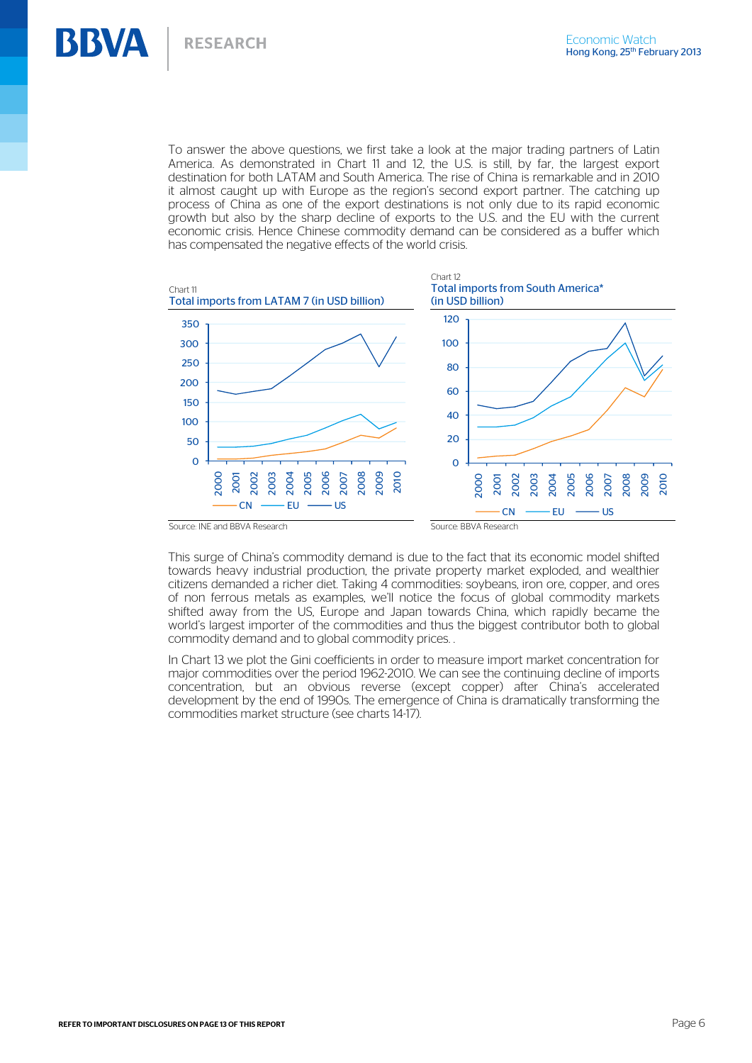To answer the above questions, we first take a look at the major trading partners of Latin America. As demonstrated in Chart 11 and 12, the U.S. is still, by far, the largest export destination for both LATAM and South America. The rise of China is remarkable and in 2010 it almost caught up with Europe as the region's second export partner. The catching up process of China as one of the export destinations is not only due to its rapid economic growth but also by the sharp decline of exports to the U.S. and the EU with the current economic crisis. Hence Chinese commodity demand can be considered as a buffer which has compensated the negative effects of the world crisis.



This surge of China's commodity demand is due to the fact that its economic model shifted towards heavy industrial production, the private property market exploded, and wealthier citizens demanded a richer diet. Taking 4 commodities: soybeans, iron ore, copper, and ores of non ferrous metals as examples, we'll notice the focus of global commodity markets shifted away from the US, Europe and Japan towards China, which rapidly became the world's largest importer of the commodities and thus the biggest contributor both to global commodity demand and to global commodity prices. .

In Chart 13 we plot the Gini coefficients in order to measure import market concentration for major commodities over the period 1962-2010. We can see the continuing decline of imports concentration, but an obvious reverse (except copper) after China's accelerated development by the end of 1990s. The emergence of China is dramatically transforming the commodities market structure (see charts 14-17).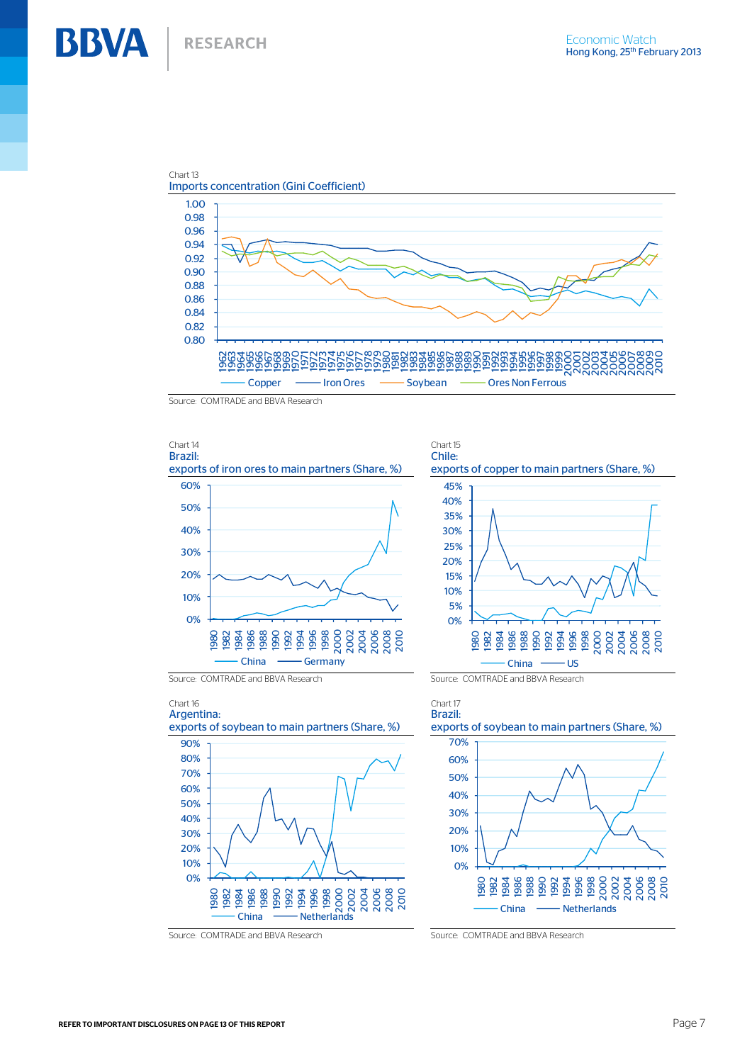

Source: COMTRADE and BBVA Research



### Chart 16 Argentina:



Source: COMTRADE and BBVA Research Source: COMTRADE and BBVA Research

## Brazil: exports of soybean to main partners (Share, %) 0% 10% 20% 30% 40% 50% 60% 70% 1980 1982 1984 1986 1988 1990 1992 1994 1996 1998 2000 2002 2004 2006 2008 2010 China - Netherlands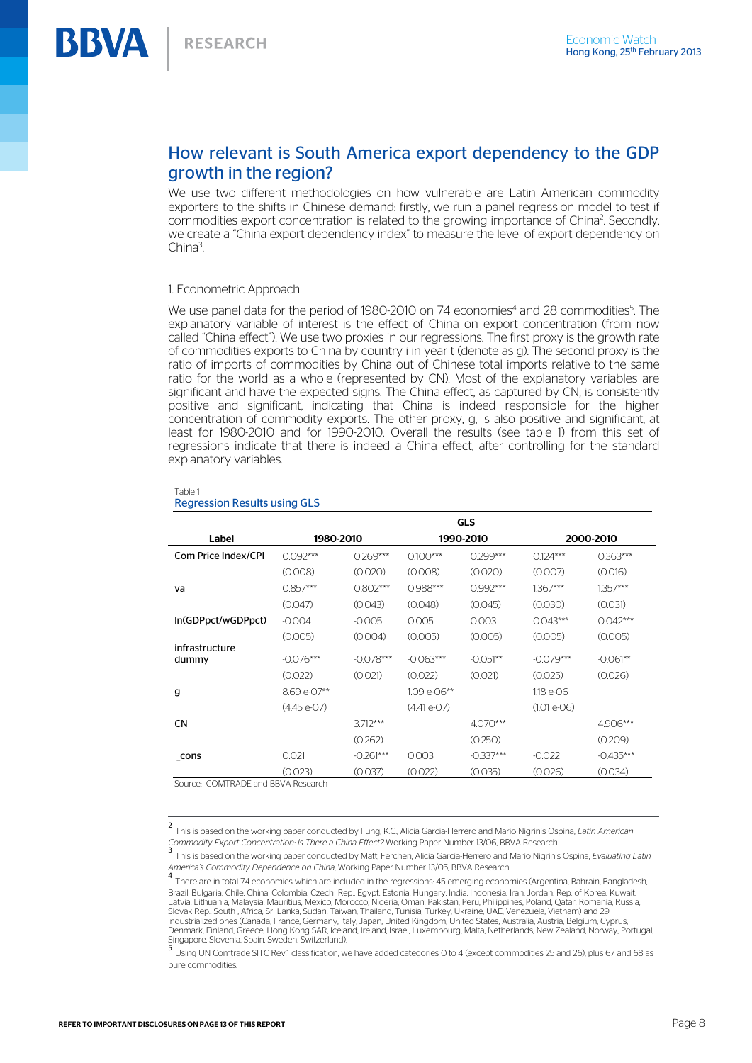## How relevant is South America export dependency to the GDP growth in the region?

We use two different methodologies on how vulnerable are Latin American commodity exporters to the shifts in Chinese demand: firstly, we run a panel regression model to test if commodities export concentration is related to the growing importance of China<sup>2</sup>. Secondly, we create a "China export dependency index" to measure the level of export dependency on China<sup>3</sup>.

## 1. Econometric Approach

We use panel data for the period of 1980-2010 on 74 economies<sup>4</sup> and 28 commodities<sup>5</sup>. The explanatory variable of interest is the effect of China on export concentration (from now called "China effect"). We use two proxies in our regressions. The first proxy is the growth rate of commodities exports to China by country i in year t (denote as g). The second proxy is the ratio of imports of commodities by China out of Chinese total imports relative to the same ratio for the world as a whole (represented by CN). Most of the explanatory variables are significant and have the expected signs. The China effect, as captured by CN, is consistently positive and significant, indicating that China is indeed responsible for the higher concentration of commodity exports. The other proxy, g, is also positive and significant, at least for 1980-2010 and for 1990-2010. Overall the results (see table 1) from this set of regressions indicate that there is indeed a China effect, after controlling for the standard explanatory variables.

|                         | <b>GLS</b>   |             |              |             |              |             |
|-------------------------|--------------|-------------|--------------|-------------|--------------|-------------|
| Label                   | 1980-2010    |             | 1990-2010    |             | 2000-2010    |             |
| Com Price Index/CPI     | $0.092***$   | $0.269***$  | $0.100***$   | $0.299***$  | $0.124***$   | $0.363***$  |
|                         | (0.008)      | (0.020)     | (0.008)      | (0.020)     | (0.007)      | (0.016)     |
| va                      | $0.857***$   | $0.802***$  | 0.988***     | $0.992***$  | $1.367***$   | $1.357***$  |
|                         | (0.047)      | (0.043)     | (0.048)      | (0.045)     | (0.030)      | (0.031)     |
| In(GDPpct/wGDPpct)      | $-0.004$     | $-0.005$    | 0.005        | 0.003       | $0.043***$   | $0.042***$  |
|                         | (0.005)      | (0.004)     | (0.005)      | (0.005)     | (0.005)      | (0.005)     |
| infrastructure<br>dummy | $-0.076***$  | $-0.078***$ | $-0.063***$  | $-0.051**$  | $-0.079***$  | $-0.061**$  |
|                         | (0.022)      | (0.021)     | (0.022)      | (0.021)     | (0.025)      | (0.026)     |
| g                       | 8.69 e-07**  |             | 1.09 e-06**  |             | 1.18 e-06    |             |
|                         | $(4.45e-07)$ |             | $(4.41e-07)$ |             | $(1.01e-06)$ |             |
| <b>CN</b>               |              | $3.712***$  |              | $4.070***$  |              | 4.906***    |
|                         |              | (0.262)     |              | (0.250)     |              | (0.209)     |
| cons                    | 0.021        | $-0.261***$ | 0.003        | $-0.337***$ | $-0.022$     | $-0.435***$ |
| 0.01170107              | (0.023)      | (0.037)     | (0.022)      | (0.035)     | (0.026)      | (0.034)     |

#### Table 1 Regression Results using GLS

Source: COMTRADE and BBVA Research

<sup>2</sup> This is based on the working paper conducted by Fung, K.C., Alicia Garcia-Herrero and Mario Nigrinis Ospina, *Latin American*  Commodity Export Concentration: Is There a China Effect? Working Paper Number 13/06, BBVA Research.<br>3 This is based on the working paper conducted by Matt, Ferchen, Alicia Garcia-Herrero and Mario Nigrinis Ospina, Evaluati

*America's Commodity Dependence on China*, Working Paper Number 13/05, BBVA Research.<br><sup>4</sup> There are in total 74 economies which are included in the regressions: 45 emerging economies (Argentina, Bahrain, Bangladesh, Brazil, Bulgaria, Chile, China, Colombia, Czech Rep., Egypt, Estonia, Hungary, India, Indonesia, Iran, Jordan, Rep. of Korea, Kuwait, Latvia, Lithuania, Malaysia, Mauritius, Mexico, Morocco, Nigeria, Oman, Pakistan, Peru, Philippines, Poland, Qatar, Romania, Russia,<br>Slovak Rep., South , Africa, Sri Lanka, Sudan, Taiwan, Thailand, Tunisia, Turkey, Ukraine industrialized ones (Canada, France, Germany, Italy, Japan, United Kingdom, United States, Australia, Austria, Belgium, Cyprus, Denmark, Finland, Greece, Hong Kong SAR, Iceland, Ireland, Israel, Luxembourg, Malta, Netherlands, New Zealand, Norway, Portugal, Singapore, Slovenia, Spain, Sweden, Switzerland).

<sup>5</sup> Using UN Comtrade SITC Rev.1 classification, we have added categories 0 to 4 (except commodities 25 and 26), plus 67 and 68 as pure commodities.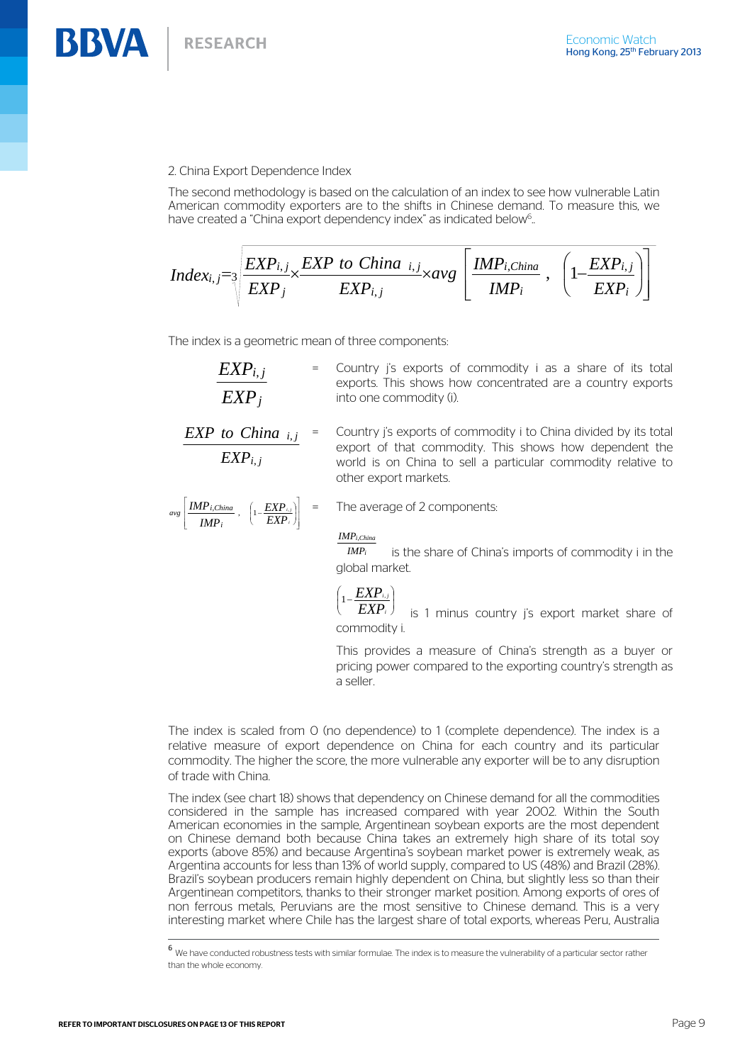## 2. China Export Dependence Index

The second methodology is based on the calculation of an index to see how vulnerable Latin American commodity exporters are to the shifts in Chinese demand. To measure this, we have created a "China export dependency index" as indicated below<sup>6</sup>..

$$
Index_{i,j} = \sqrt[3]{\frac{EXP_{i,j}}{EXP_j} \times \frac{EXP\ to\ China\ i,j}}{EXP_{i,j}} \times avg\left[\frac{IMP_{i,China}}{IMP_i}, \ \left(1-\frac{EXP_{i,j}}{EXP_i}\right)\right]
$$

The index is a geometric mean of three components:

| $EXP_{i,j}$      | = Country i's exports of commodity i as a share of its total |
|------------------|--------------------------------------------------------------|
|                  | exports. This shows how concentrated are a country exports   |
| EXP <sub>i</sub> | into one commodity (i).                                      |

= Country j's exports of commodity i to China divided by its total export of that commodity. This shows how dependent the world is on China to sell a particular commodity relative to other export markets. *EXP EXP to China i j i j* , ,

$$
avg\left[\frac{IMP_{i,China}}{IMP_{i}} , \left(1-\frac{EXP_{i,j}}{EXP_{i}}\right)\right]
$$

= The average of 2 components:

### *IMP i*,*China*

 is the share of China's imports of commodity i in the global market. *IMP i*

$$
\left(1-\frac{EXP_{i,j}}{FYP}\right)
$$

is 1 minus country i's export market share of commodity i. *EXP i* l

This provides a measure of China's strength as a buyer or pricing power compared to the exporting country's strength as a seller.

The index is scaled from 0 (no dependence) to 1 (complete dependence). The index is a relative measure of export dependence on China for each country and its particular commodity. The higher the score, the more vulnerable any exporter will be to any disruption of trade with China.

The index (see chart 18) shows that dependency on Chinese demand for all the commodities considered in the sample has increased compared with year 2002. Within the South American economies in the sample, Argentinean soybean exports are the most dependent on Chinese demand both because China takes an extremely high share of its total soy exports (above 85%) and because Argentina's soybean market power is extremely weak, as Argentina accounts for less than 13% of world supply, compared to US (48%) and Brazil (28%). Brazil's soybean producers remain highly dependent on China, but slightly less so than their Argentinean competitors, thanks to their stronger market position. Among exports of ores of non ferrous metals, Peruvians are the most sensitive to Chinese demand. This is a very interesting market where Chile has the largest share of total exports, whereas Peru, Australia

<sup>6</sup> We have conducted robustness tests with similar formulae. The index is to measure the vulnerability of a particular sector rather than the whole economy.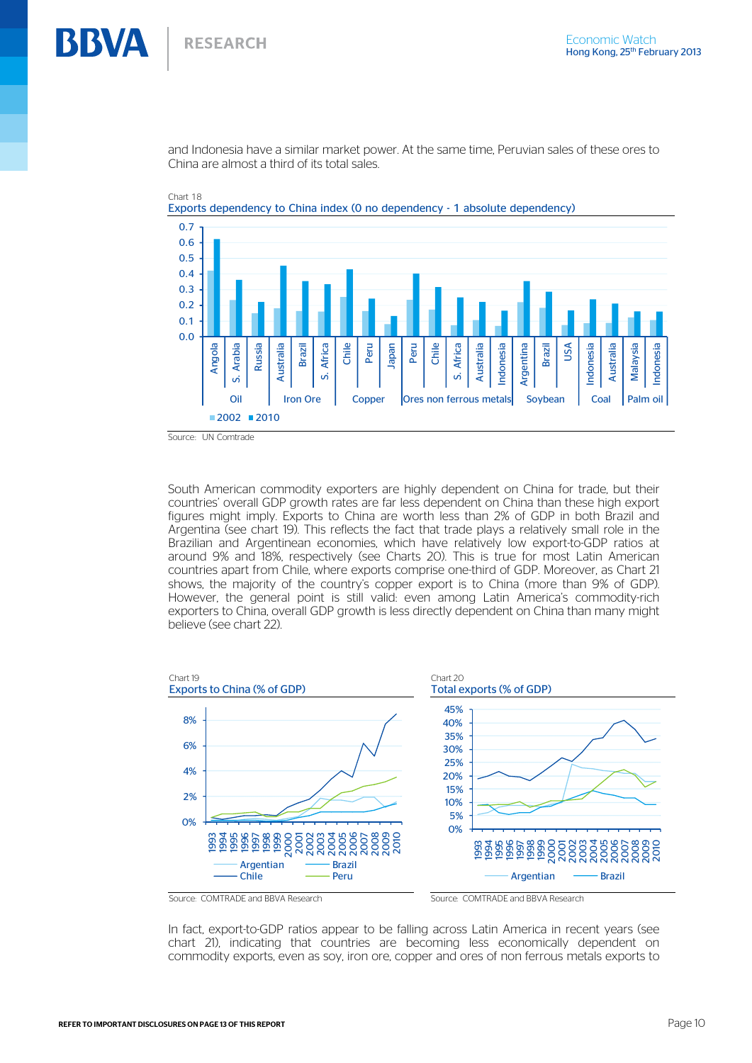and Indonesia have a similar market power. At the same time, Peruvian sales of these ores to China are almost a third of its total sales.



Chart 18

Source: UN Comtrade

South American commodity exporters are highly dependent on China for trade, but their countries' overall GDP growth rates are far less dependent on China than these high export figures might imply. Exports to China are worth less than 2% of GDP in both Brazil and Argentina (see chart 19). This reflects the fact that trade plays a relatively small role in the Brazilian and Argentinean economies, which have relatively low export-to-GDP ratios at around 9% and 18%, respectively (see Charts 20). This is true for most Latin American countries apart from Chile, where exports comprise one-third of GDP. Moreover, as Chart 21 shows, the majority of the country's copper export is to China (more than 9% of GDP). However, the general point is still valid: even among Latin America's commodity-rich exporters to China, overall GDP growth is less directly dependent on China than many might believe (see chart 22).



In fact, export-to-GDP ratios appear to be falling across Latin America in recent years (see chart 21), indicating that countries are becoming less economically dependent on commodity exports, even as soy, iron ore, copper and ores of non ferrous metals exports to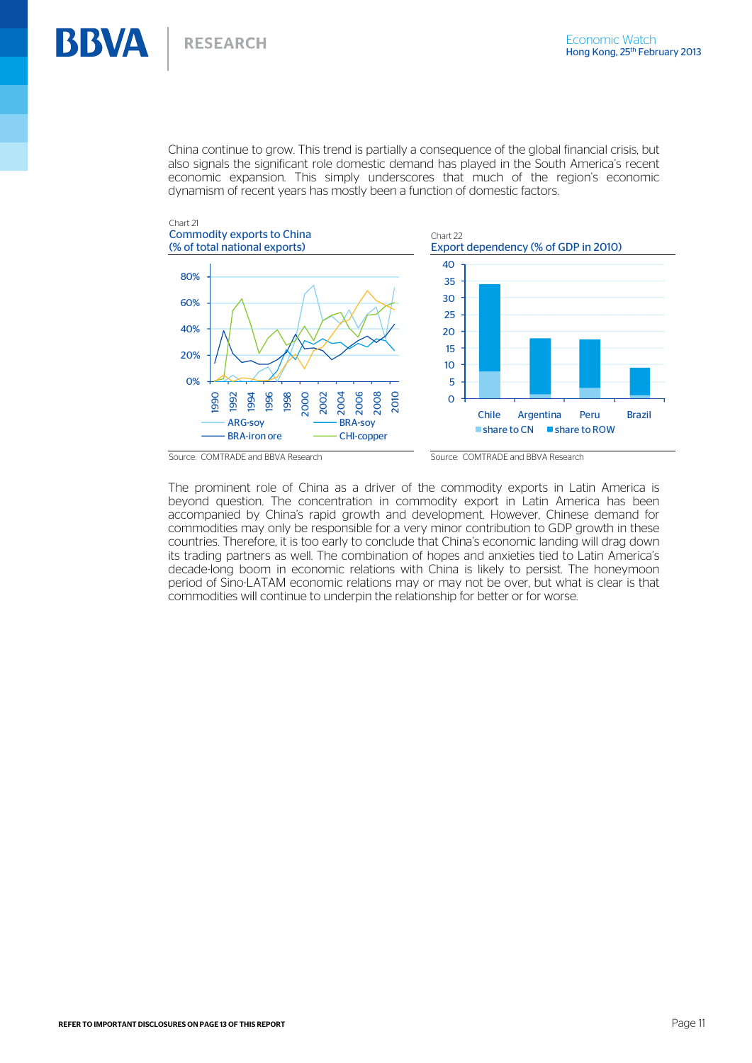## China continue to grow. This trend is partially a consequence of the global financial crisis, but also signals the significant role domestic demand has played in the South America's recent economic expansion. This simply underscores that much of the region's economic dynamism of recent years has mostly been a function of domestic factors.







Chart 22

The prominent role of China as a driver of the commodity exports in Latin America is beyond question. The concentration in commodity export in Latin America has been accompanied by China's rapid growth and development. However, Chinese demand for commodities may only be responsible for a very minor contribution to GDP growth in these countries. Therefore, it is too early to conclude that China's economic landing will drag down its trading partners as well. The combination of hopes and anxieties tied to Latin America's decade-long boom in economic relations with China is likely to persist. The honeymoon period of Sino-LATAM economic relations may or may not be over, but what is clear is that commodities will continue to underpin the relationship for better or for worse.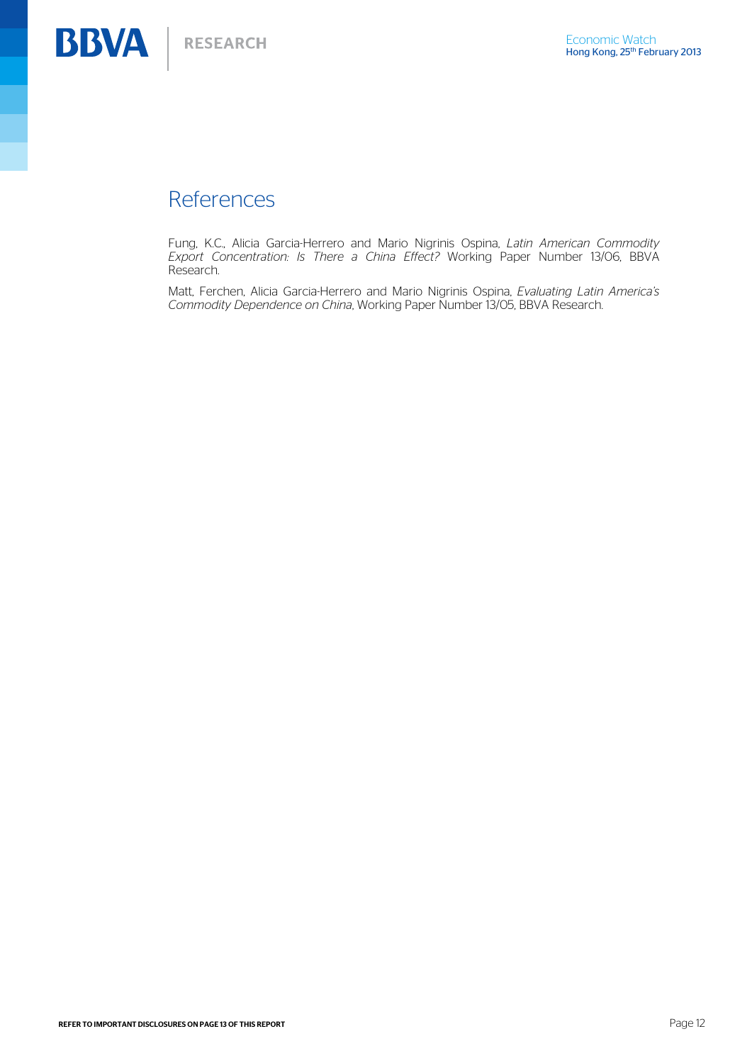## References

Fung, K.C., Alicia Garcia-Herrero and Mario Nigrinis Ospina, *Latin American Commodity Export Concentration: Is There a China Effect?* Working Paper Number 13/06, BBVA Research.

Matt, Ferchen, Alicia Garcia-Herrero and Mario Nigrinis Ospina, *Evaluating Latin America's Commodity Dependence on China*, Working Paper Number 13/05, BBVA Research.

REFER TO IMPORTANT DISCLOSURES ON PAGE 13 OF THIS REPORT **Page 12** and the state of the state of the state of the state of the state of the state of the state of the state of the state of the state of the state of the stat